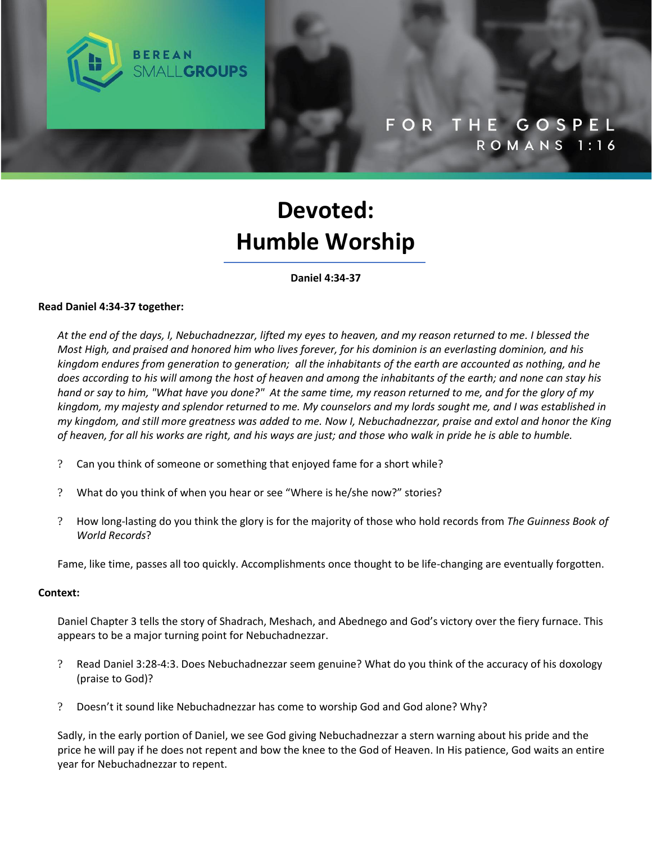

# **Devoted: Humble Worship**

#### **Daniel 4:34-37**

#### **Read Daniel 4:34-37 together:**

*At the end of the days, I, Nebuchadnezzar, lifted my eyes to heaven, and my reason returned to me. I blessed the Most High, and praised and honored him who lives forever, for his dominion is an everlasting dominion, and his kingdom endures from generation to generation; all the inhabitants of the earth are accounted as nothing, and he does according to his will among the host of heaven and among the inhabitants of the earth; and none can stay his hand or say to him, "What have you done?" At the same time, my reason returned to me, and for the glory of my kingdom, my majesty and splendor returned to me. My counselors and my lords sought me, and I was established in my kingdom, and still more greatness was added to me. Now I, Nebuchadnezzar, praise and extol and honor the King of heaven, for all his works are right, and his ways are just; and those who walk in pride he is able to humble.*

- ? Can you think of someone or something that enjoyed fame for a short while?
- ? What do you think of when you hear or see "Where is he/she now?" stories?
- ? How long-lasting do you think the glory is for the majority of those who hold records from *The Guinness Book of World Records*?

Fame, like time, passes all too quickly. Accomplishments once thought to be life-changing are eventually forgotten.

#### **Context:**

Daniel Chapter 3 tells the story of Shadrach, Meshach, and Abednego and God's victory over the fiery furnace. This appears to be a major turning point for Nebuchadnezzar.

- ? Read Daniel 3:28-4:3. Does Nebuchadnezzar seem genuine? What do you think of the accuracy of his doxology (praise to God)?
- ? Doesn't it sound like Nebuchadnezzar has come to worship God and God alone? Why?

Sadly, in the early portion of Daniel, we see God giving Nebuchadnezzar a stern warning about his pride and the price he will pay if he does not repent and bow the knee to the God of Heaven. In His patience, God waits an entire year for Nebuchadnezzar to repent.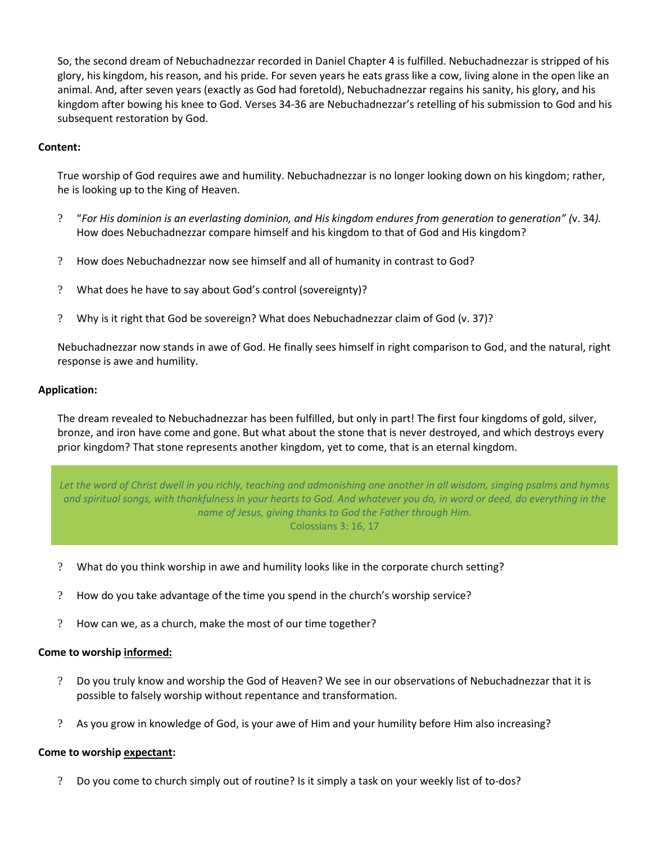So, the second dream of Nebuchadnezzar recorded in Daniel Chapter 4 is fulfilled. Nebuchadnezzar is stripped of his glory, his kingdom, his reason, and his pride. For seven years he eats grass like a cow, living alone in the open like an animal. And, after seven years (exactly as God had foretold), Nebuchadnezzar regains his sanity, his glory, and his kingdom after bowing his knee to God. Verses 34-36 are Nebuchadnezzar's retelling of his submission to God and his subsequent restoration by God.

## **Content:**

True worship of God requires awe and humility. Nebuchadnezzar is no longer looking down on his kingdom; rather, he is looking up to the King of Heaven.

- ? "*For His dominion is an everlasting dominion, and His kingdom endures from generation to generation" (*v. 34*).* How does Nebuchadnezzar compare himself and his kingdom to that of God and His kingdom?
- ? How does Nebuchadnezzar now see himself and all of humanity in contrast to God?
- ? What does he have to say about God's control (sovereignty)?
- ? Why is it right that God be sovereign? What does Nebuchadnezzar claim of God (v. 37)?

Nebuchadnezzar now stands in awe of God. He finally sees himself in right comparison to God, and the natural, right response is awe and humility.

## **Application:**

The dream revealed to Nebuchadnezzar has been fulfilled, but only in part! The first four kingdoms of gold, silver, bronze, and iron have come and gone. But what about the stone that is never destroyed, and which destroys every prior kingdom? That stone represents another kingdom, yet to come, that is an eternal kingdom.

Let the word of Christ dwell in you richly, teaching and admonishing one another in all wisdom, singing psalms and hymns and spiritual songs, with thankfulness in your hearts to God. And whatever you do, in word or deed, do everything in the name of Jesus, giving thanks to God the Father through Him. Colossians 3: 16, 17

- ? What do you think worship in awe and humility looks like in the corporate church setting?
- ? How do you take advantage of the time you spend in the church's worship service?
- ? How can we, as a church, make the most of our time together?

## **Come to worship informed:**

- ? Do you truly know and worship the God of Heaven? We see in our observations of Nebuchadnezzar that it is possible to falsely worship without repentance and transformation.
- ? As you grow in knowledge of God, is your awe of Him and your humility before Him also increasing?

## **Come to worship expectant:**

? Do you come to church simply out of routine? Is it simply a task on your weekly list of to-dos?